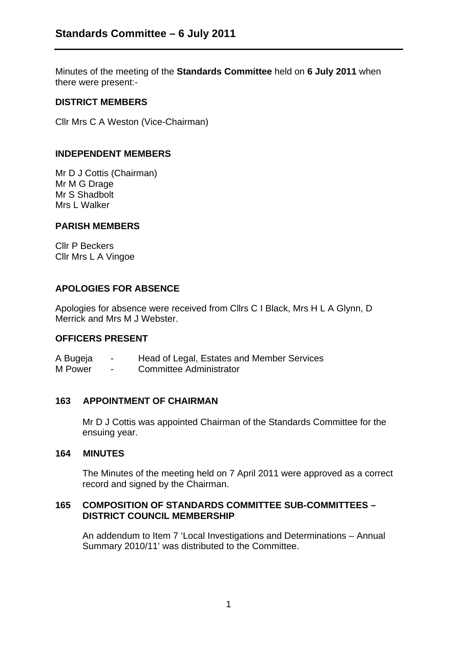Minutes of the meeting of the **Standards Committee** held on **6 July 2011** when there were present:-

### **DISTRICT MEMBERS**

Cllr Mrs C A Weston (Vice-Chairman)

# **INDEPENDENT MEMBERS**

Mr D J Cottis (Chairman) Mr M G Drage Mr S Shadbolt Mrs L Walker

### **PARISH MEMBERS**

Cllr P Beckers Cllr Mrs L A Vingoe

# **APOLOGIES FOR ABSENCE**

Apologies for absence were received from Cllrs C I Black, Mrs H L A Glynn, D Merrick and Mrs M J Webster.

### **OFFICERS PRESENT**

A Bugeja - Head of Legal, Estates and Member Services

M Power - Committee Administrator

# **163 APPOINTMENT OF CHAIRMAN**

Mr D J Cottis was appointed Chairman of the Standards Committee for the ensuing year.

### **164 MINUTES**

The Minutes of the meeting held on 7 April 2011 were approved as a correct record and signed by the Chairman.

### **165 COMPOSITION OF STANDARDS COMMITTEE SUB-COMMITTEES – DISTRICT COUNCIL MEMBERSHIP**

An addendum to Item 7 'Local Investigations and Determinations – Annual Summary 2010/11' was distributed to the Committee.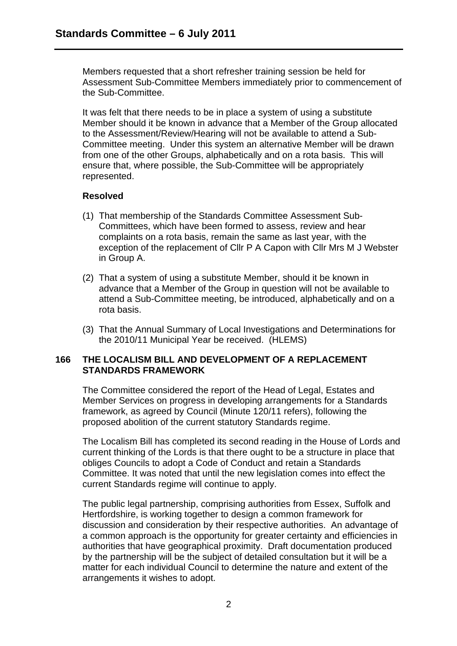Members requested that a short refresher training session be held for Assessment Sub-Committee Members immediately prior to commencement of the Sub-Committee.

It was felt that there needs to be in place a system of using a substitute Member should it be known in advance that a Member of the Group allocated to the Assessment/Review/Hearing will not be available to attend a Sub-Committee meeting. Under this system an alternative Member will be drawn from one of the other Groups, alphabetically and on a rota basis. This will ensure that, where possible, the Sub-Committee will be appropriately represented.

# **Resolved**

- (1) That membership of the Standards Committee Assessment Sub-Committees, which have been formed to assess, review and hear complaints on a rota basis, remain the same as last year, with the exception of the replacement of Cllr P A Capon with Cllr Mrs M J Webster in Group A.
- (2) That a system of using a substitute Member, should it be known in advance that a Member of the Group in question will not be available to attend a Sub-Committee meeting, be introduced, alphabetically and on a rota basis.
- (3) That the Annual Summary of Local Investigations and Determinations for the 2010/11 Municipal Year be received. (HLEMS)

### **166 THE LOCALISM BILL AND DEVELOPMENT OF A REPLACEMENT STANDARDS FRAMEWORK**

The Committee considered the report of the Head of Legal, Estates and Member Services on progress in developing arrangements for a Standards framework, as agreed by Council (Minute 120/11 refers), following the proposed abolition of the current statutory Standards regime.

The Localism Bill has completed its second reading in the House of Lords and current thinking of the Lords is that there ought to be a structure in place that obliges Councils to adopt a Code of Conduct and retain a Standards Committee. It was noted that until the new legislation comes into effect the current Standards regime will continue to apply.

The public legal partnership, comprising authorities from Essex, Suffolk and Hertfordshire, is working together to design a common framework for discussion and consideration by their respective authorities. An advantage of a common approach is the opportunity for greater certainty and efficiencies in authorities that have geographical proximity. Draft documentation produced by the partnership will be the subject of detailed consultation but it will be a matter for each individual Council to determine the nature and extent of the arrangements it wishes to adopt.